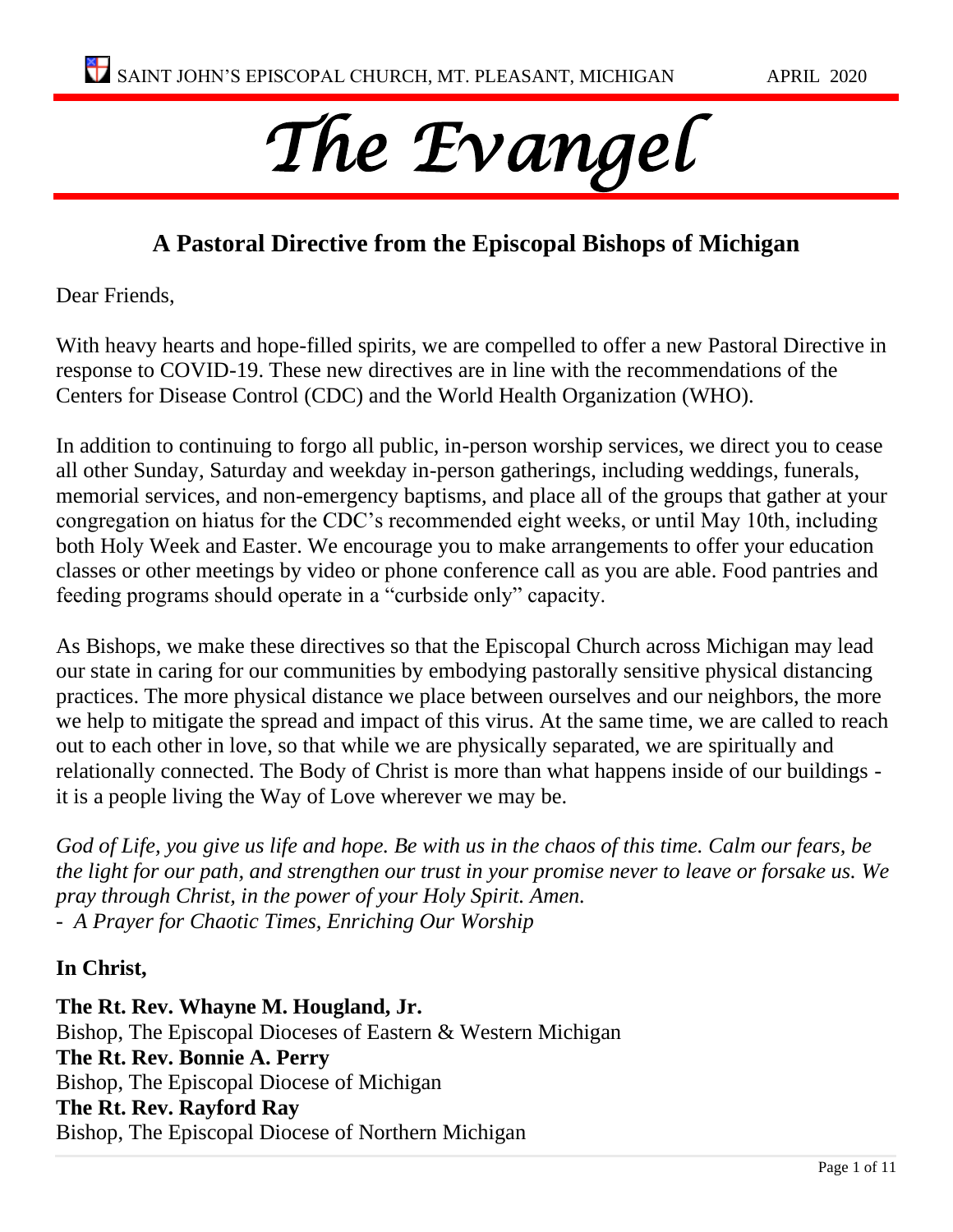# *The Evangel*

# **A Pastoral Directive from the Episcopal Bishops of Michigan**

Dear Friends,

With heavy hearts and hope-filled spirits, we are compelled to offer a new Pastoral Directive in response to COVID-19. These new directives are in line with the recommendations of the Centers for Disease Control (CDC) and the World Health Organization (WHO).

In addition to continuing to forgo all public, in-person worship services, we direct you to cease all other Sunday, Saturday and weekday in-person gatherings, including weddings, funerals, memorial services, and non-emergency baptisms, and place all of the groups that gather at your congregation on hiatus for the CDC's recommended eight weeks, or until May 10th, including both Holy Week and Easter. We encourage you to make arrangements to offer your education classes or other meetings by video or phone conference call as you are able. Food pantries and feeding programs should operate in a "curbside only" capacity.

As Bishops, we make these directives so that the Episcopal Church across Michigan may lead our state in caring for our communities by embodying pastorally sensitive physical distancing practices. The more physical distance we place between ourselves and our neighbors, the more we help to mitigate the spread and impact of this virus. At the same time, we are called to reach out to each other in love, so that while we are physically separated, we are spiritually and relationally connected. The Body of Christ is more than what happens inside of our buildings it is a people living the Way of Love wherever we may be.

*God of Life, you give us life and hope. Be with us in the chaos of this time. Calm our fears, be the light for our path, and strengthen our trust in your promise never to leave or forsake us. We pray through Christ, in the power of your Holy Spirit. Amen. - A Prayer for Chaotic Times, Enriching Our Worship*

**In Christ,**

**The Rt. Rev. Whayne M. Hougland, Jr.** Bishop, The Episcopal Dioceses of Eastern & Western Michigan **The Rt. Rev. Bonnie A. Perry** Bishop, The Episcopal Diocese of Michigan **The Rt. Rev. Rayford Ray** Bishop, The Episcopal Diocese of Northern Michigan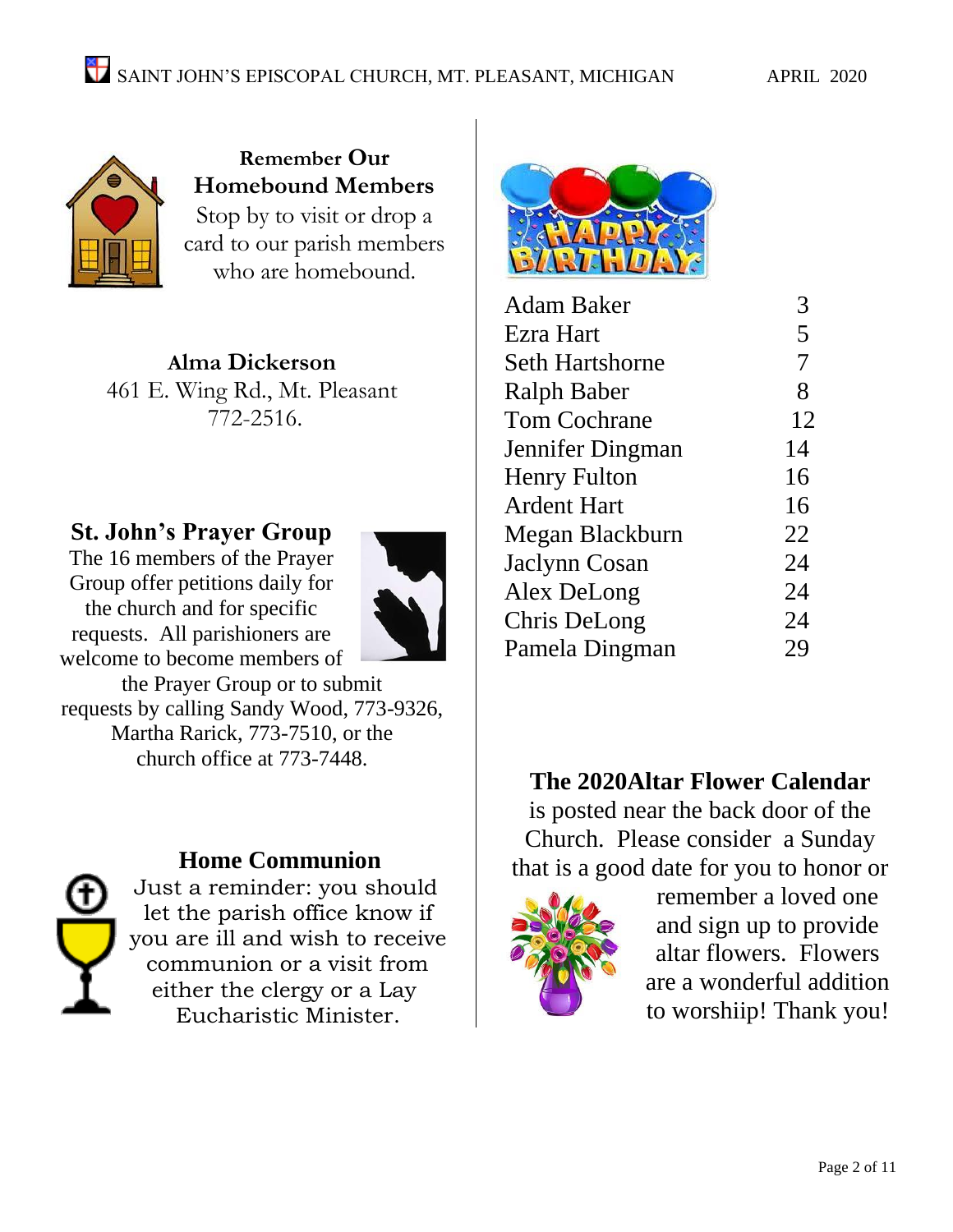

**Remember Our Homebound Members** Stop by to visit or drop a card to our parish members who are homebound.

**Alma Dickerson** 461 E. Wing Rd., Mt. Pleasant 772-2516.

# **St. John's Prayer Group**

The 16 members of the Prayer Group offer petitions daily for the church and for specific requests. All parishioners are welcome to become members of



the Prayer Group or to submit requests by calling Sandy Wood, 773-9326, Martha Rarick, 773-7510, or the church office at 773-7448.



## **Home Communion**

Just a reminder: you should let the parish office know if you are ill and wish to receive communion or a visit from either the clergy or a Lay Eucharistic Minister.



| Adam Baker             |    |
|------------------------|----|
| Ezra Hart              | 5  |
| <b>Seth Hartshorne</b> | 7  |
| <b>Ralph Baber</b>     | 8  |
| <b>Tom Cochrane</b>    | 12 |
| Jennifer Dingman       | 14 |
| <b>Henry Fulton</b>    | 16 |
| <b>Ardent Hart</b>     | 16 |
| Megan Blackburn        | 22 |
| Jaclynn Cosan          | 24 |
| Alex DeLong            | 24 |
| Chris DeLong           | 24 |
| Pamela Dingman         | 29 |
|                        |    |

# **The 2020Altar Flower Calendar**

is posted near the back door of the Church. Please consider a Sunday that is a good date for you to honor or



remember a loved one and sign up to provide altar flowers. Flowers are a wonderful addition to worshiip! Thank you!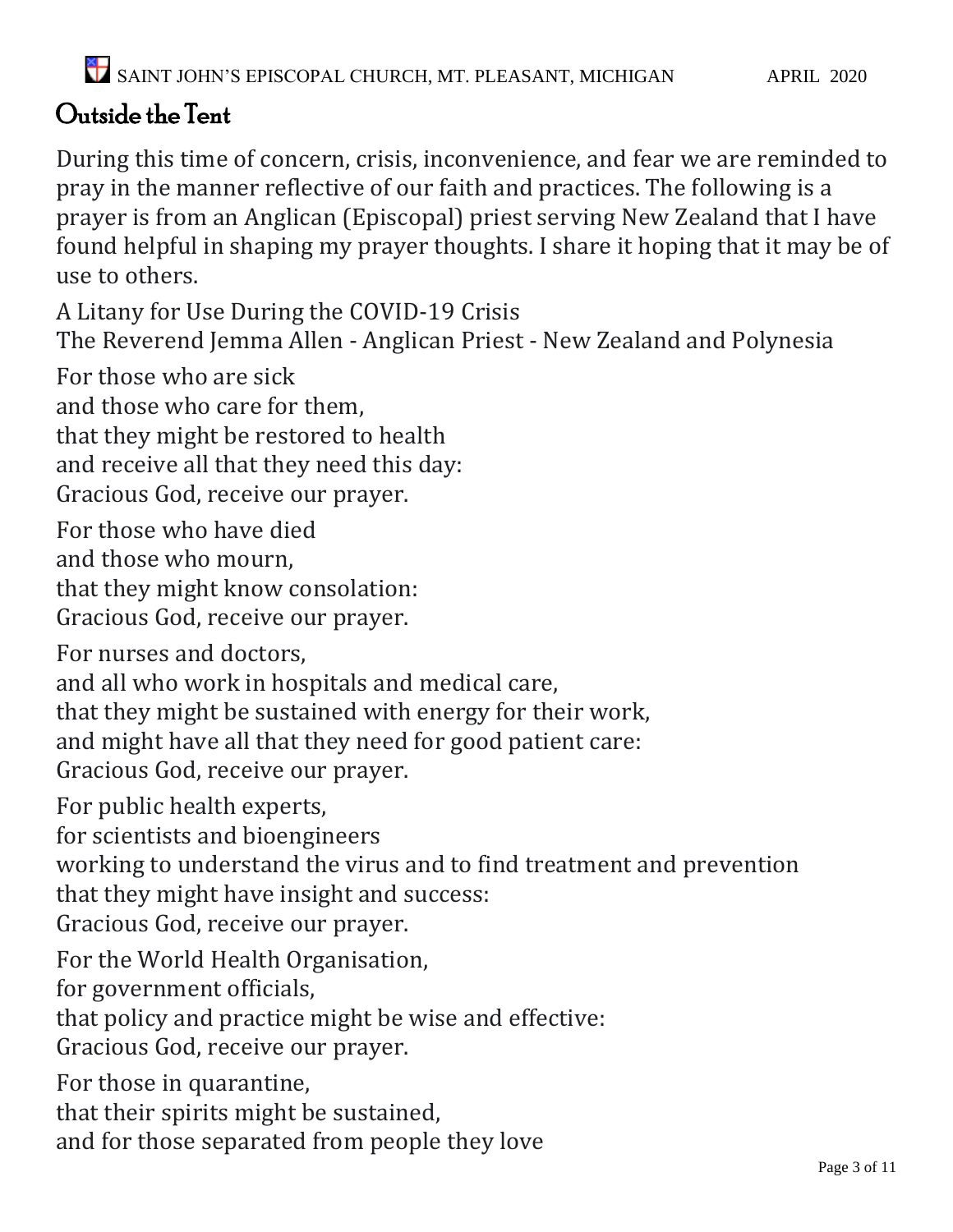# Outside the Tent

During this time of concern, crisis, inconvenience, and fear we are reminded to pray in the manner reflective of our faith and practices. The following is a prayer is from an Anglican (Episcopal) priest serving New Zealand that I have found helpful in shaping my prayer thoughts. I share it hoping that it may be of use to others.

A Litany for Use During the COVID-19 Crisis The Reverend Jemma Allen - Anglican Priest - New Zealand and Polynesia

For those who are sick

and those who care for them,

that they might be restored to health

and receive all that they need this day:

Gracious God, receive our prayer.

For those who have died

and those who mourn,

that they might know consolation:

Gracious God, receive our prayer.

For nurses and doctors,

and all who work in hospitals and medical care,

that they might be sustained with energy for their work,

and might have all that they need for good patient care:

Gracious God, receive our prayer.

For public health experts,

for scientists and bioengineers

working to understand the virus and to find treatment and prevention that they might have insight and success:

Gracious God, receive our prayer.

For the World Health Organisation,

for government officials,

that policy and practice might be wise and effective:

Gracious God, receive our prayer.

For those in quarantine,

that their spirits might be sustained,

and for those separated from people they love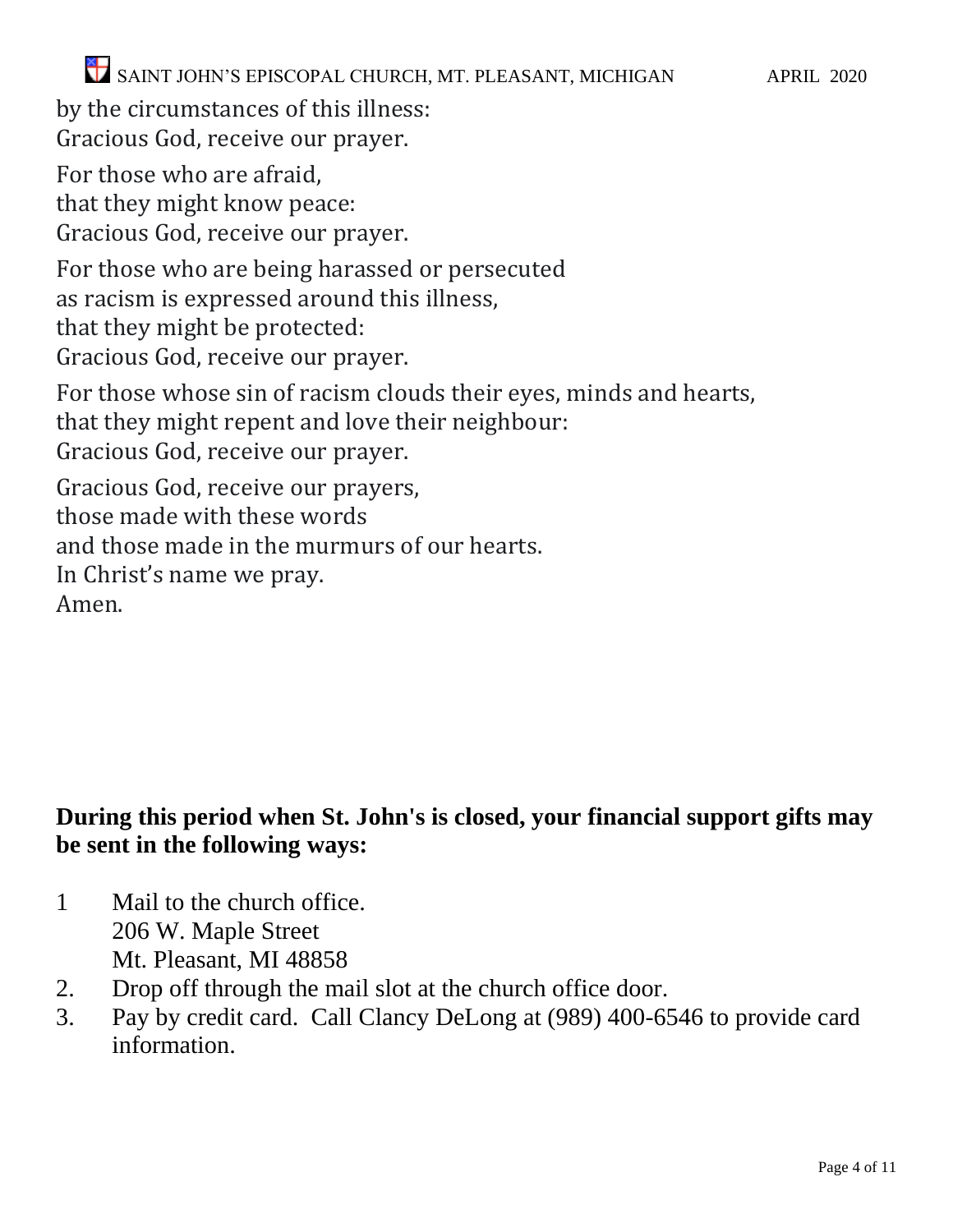SAINT JOHN'S EPISCOPAL CHURCH, MT. PLEASANT, MICHIGAN APRIL 2020

by the circumstances of this illness: Gracious God, receive our prayer.

For those who are afraid,

that they might know peace:

Gracious God, receive our prayer.

For those who are being harassed or persecuted

as racism is expressed around this illness,

that they might be protected:

Gracious God, receive our prayer.

For those whose sin of racism clouds their eyes, minds and hearts, that they might repent and love their neighbour: Gracious God, receive our prayer. Gracious God, receive our prayers,

those made with these words

and those made in the murmurs of our hearts.

In Christ's name we pray.

Amen.

# **During this period when St. John's is closed, your financial support gifts may be sent in the following ways:**

- 1 Mail to the church office. 206 W. Maple Street Mt. Pleasant, MI 48858
- 2. Drop off through the mail slot at the church office door.
- 3. Pay by credit card. Call Clancy DeLong at (989) 400-6546 to provide card information.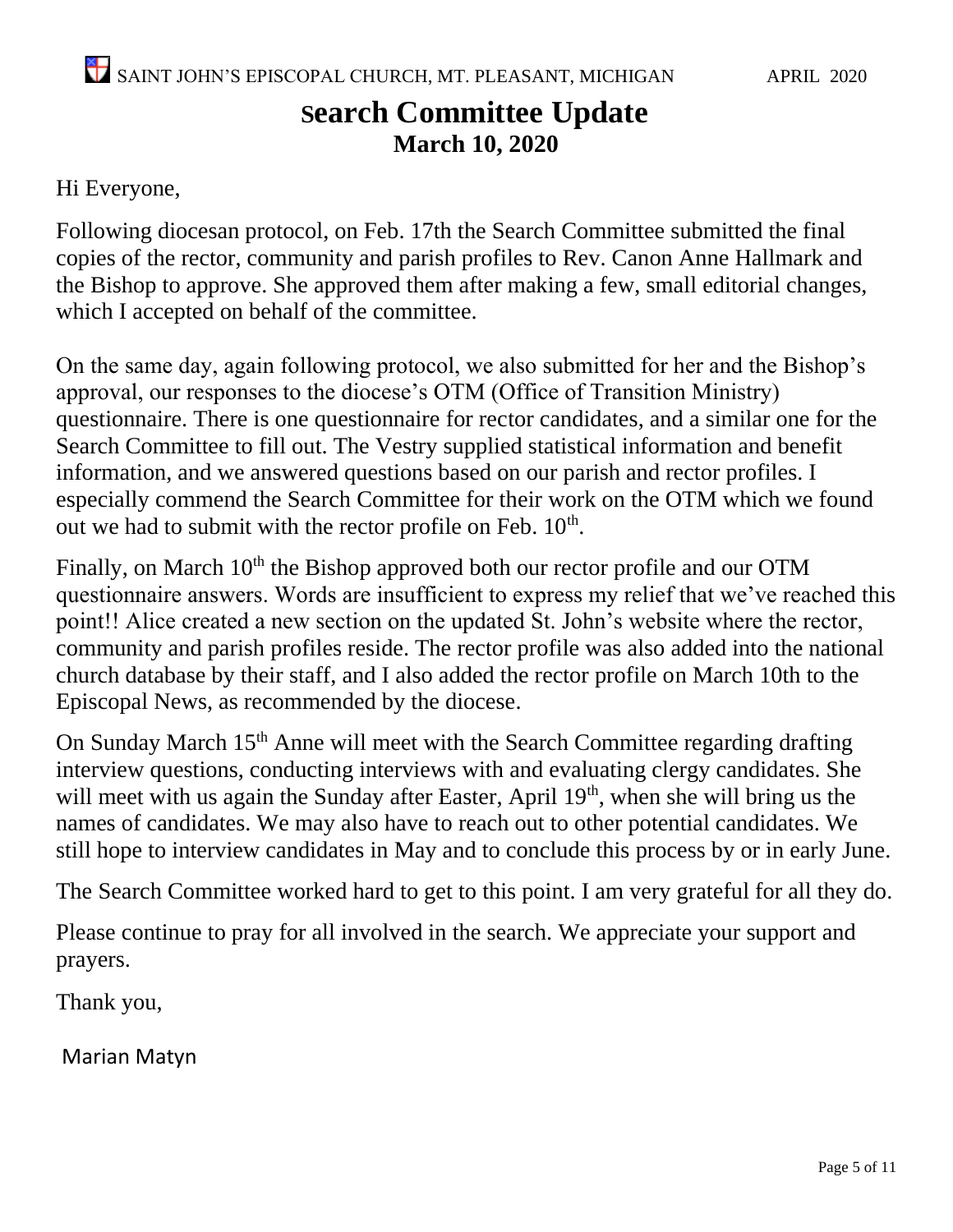# **Search Committee Update March 10, 2020**

## Hi Everyone,

Following diocesan protocol, on Feb. 17th the Search Committee submitted the final copies of the rector, community and parish profiles to Rev. Canon Anne Hallmark and the Bishop to approve. She approved them after making a few, small editorial changes, which I accepted on behalf of the committee.

On the same day, again following protocol, we also submitted for her and the Bishop's approval, our responses to the diocese's OTM (Office of Transition Ministry) questionnaire. There is one questionnaire for rector candidates, and a similar one for the Search Committee to fill out. The Vestry supplied statistical information and benefit information, and we answered questions based on our parish and rector profiles. I especially commend the Search Committee for their work on the OTM which we found out we had to submit with the rector profile on Feb.  $10<sup>th</sup>$ .

Finally, on March 10<sup>th</sup> the Bishop approved both our rector profile and our OTM questionnaire answers. Words are insufficient to express my relief that we've reached this point!! Alice created a new section on the updated St. John's website where the rector, community and parish profiles reside. The rector profile was also added into the national church database by their staff, and I also added the rector profile on March 10th to the Episcopal News, as recommended by the diocese.

On Sunday March 15<sup>th</sup> Anne will meet with the Search Committee regarding drafting interview questions, conducting interviews with and evaluating clergy candidates. She will meet with us again the Sunday after Easter, April  $19<sup>th</sup>$ , when she will bring us the names of candidates. We may also have to reach out to other potential candidates. We still hope to interview candidates in May and to conclude this process by or in early June.

The Search Committee worked hard to get to this point. I am very grateful for all they do.

Please continue to pray for all involved in the search. We appreciate your support and prayers.

Thank you,

Marian Matyn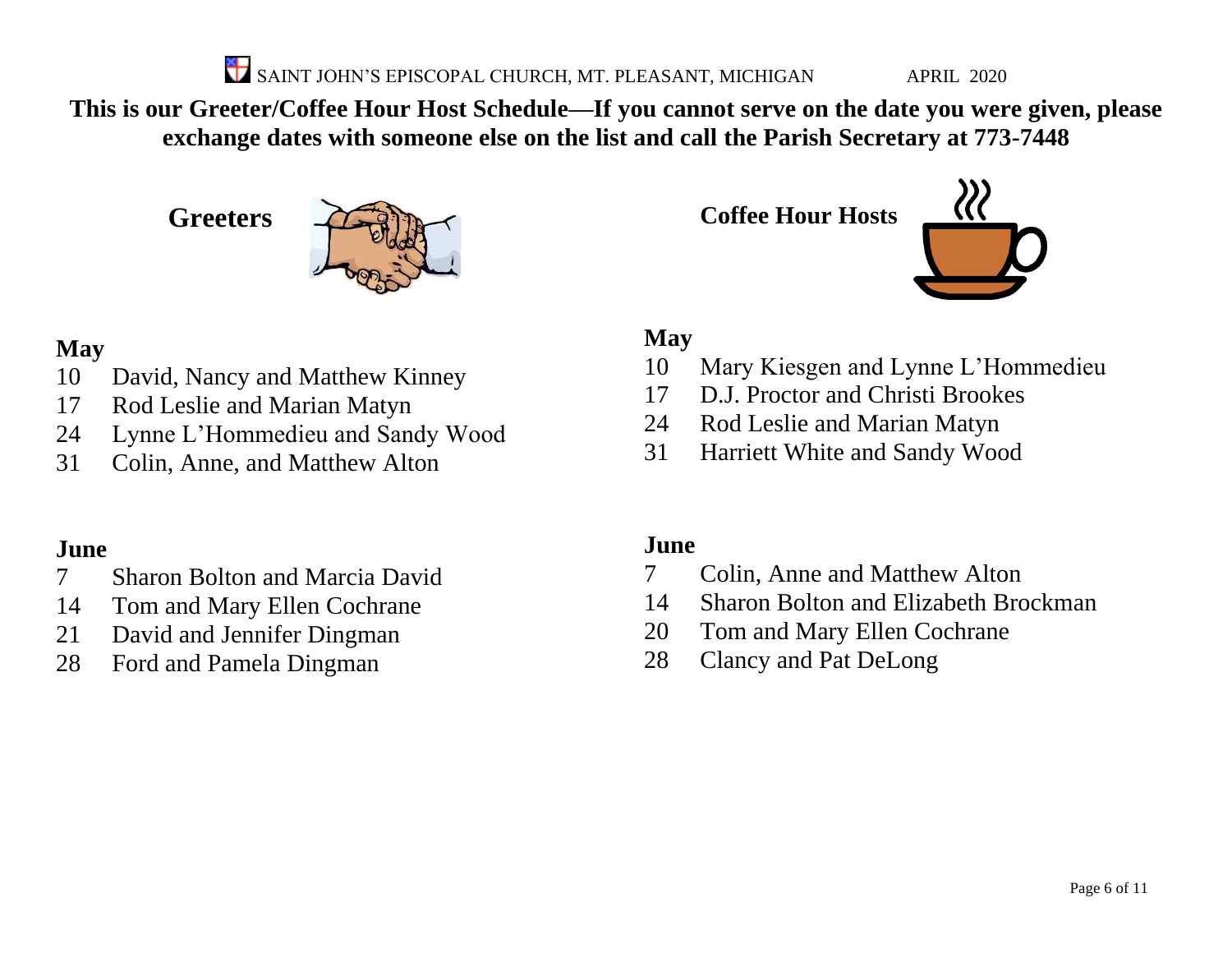SAINT JOHN'S EPISCOPAL CHURCH, MT. PLEASANT, MICHIGAN APRIL 2020

**This is our Greeter/Coffee Hour Host Schedule—If you cannot serve on the date you were given, please exchange dates with someone else on the list and call the Parish Secretary at 773-7448**

**Greeters**



# **May**

- David, Nancy and Matthew Kinney
- Rod Leslie and Marian Matyn
- Lynne L'Hommedieu and Sandy Wood
- Colin, Anne, and Matthew Alton

# **June**

- Sharon Bolton and Marcia David
- Tom and Mary Ellen Cochrane
- David and Jennifer Dingman
- Ford and Pamela Dingman

# **May**

- Mary Kiesgen and Lynne L'Hommedieu
- D.J. Proctor and Christi Brookes
- Rod Leslie and Marian Matyn

**Coffee Hour Hosts**

Harriett White and Sandy Wood

# **June**

- Colin, Anne and Matthew Alton
- Sharon Bolton and Elizabeth Brockman
- Tom and Mary Ellen Cochrane
- Clancy and Pat DeLong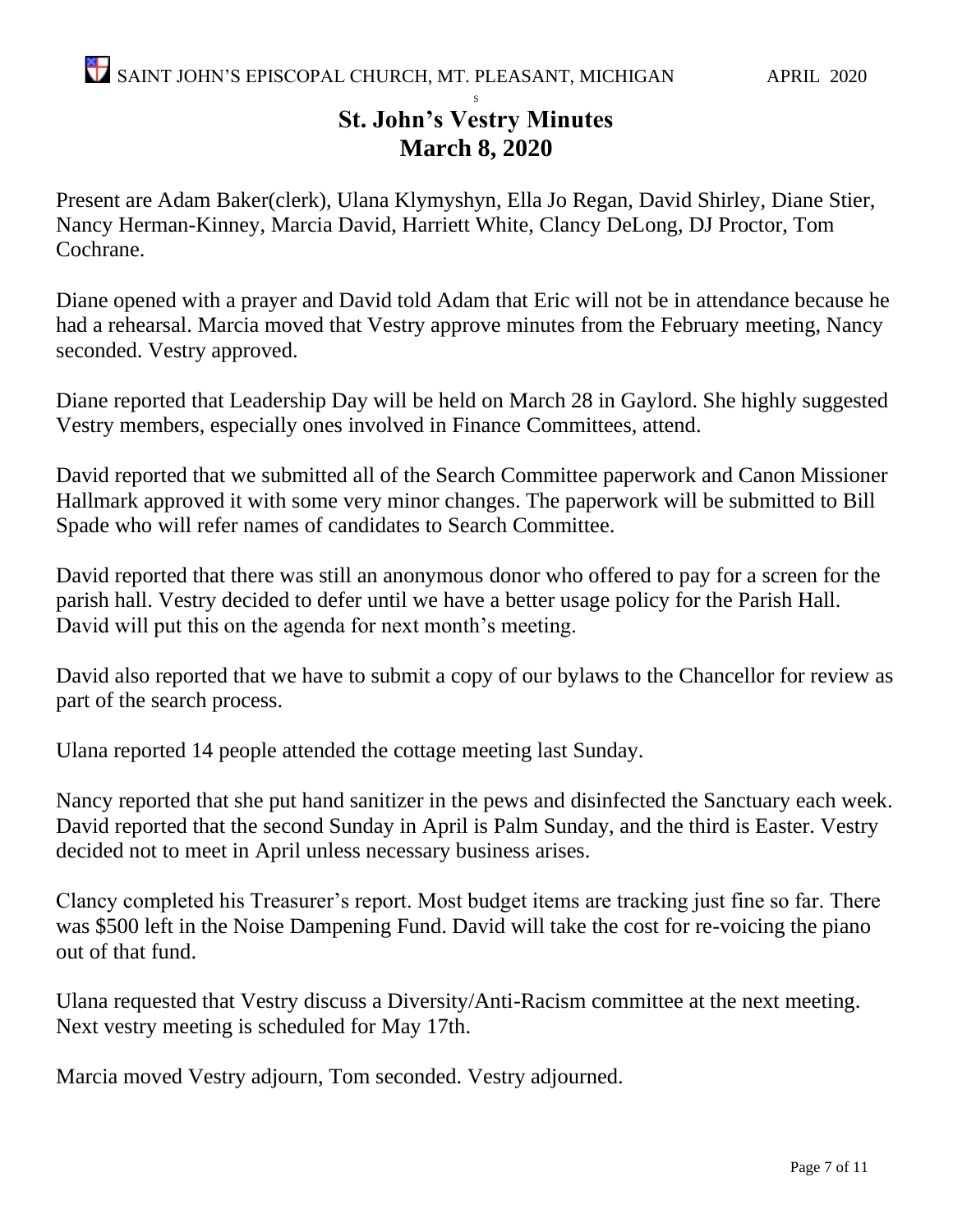#### S **St. John's Vestry Minutes March 8, 2020**

Present are Adam Baker(clerk), Ulana Klymyshyn, Ella Jo Regan, David Shirley, Diane Stier, Nancy Herman-Kinney, Marcia David, Harriett White, Clancy DeLong, DJ Proctor, Tom Cochrane.

Diane opened with a prayer and David told Adam that Eric will not be in attendance because he had a rehearsal. Marcia moved that Vestry approve minutes from the February meeting, Nancy seconded. Vestry approved.

Diane reported that Leadership Day will be held on March 28 in Gaylord. She highly suggested Vestry members, especially ones involved in Finance Committees, attend.

David reported that we submitted all of the Search Committee paperwork and Canon Missioner Hallmark approved it with some very minor changes. The paperwork will be submitted to Bill Spade who will refer names of candidates to Search Committee.

David reported that there was still an anonymous donor who offered to pay for a screen for the parish hall. Vestry decided to defer until we have a better usage policy for the Parish Hall. David will put this on the agenda for next month's meeting.

David also reported that we have to submit a copy of our bylaws to the Chancellor for review as part of the search process.

Ulana reported 14 people attended the cottage meeting last Sunday.

Nancy reported that she put hand sanitizer in the pews and disinfected the Sanctuary each week. David reported that the second Sunday in April is Palm Sunday, and the third is Easter. Vestry decided not to meet in April unless necessary business arises.

Clancy completed his Treasurer's report. Most budget items are tracking just fine so far. There was \$500 left in the Noise Dampening Fund. David will take the cost for re-voicing the piano out of that fund.

Ulana requested that Vestry discuss a Diversity/Anti-Racism committee at the next meeting. Next vestry meeting is scheduled for May 17th.

Marcia moved Vestry adjourn, Tom seconded. Vestry adjourned.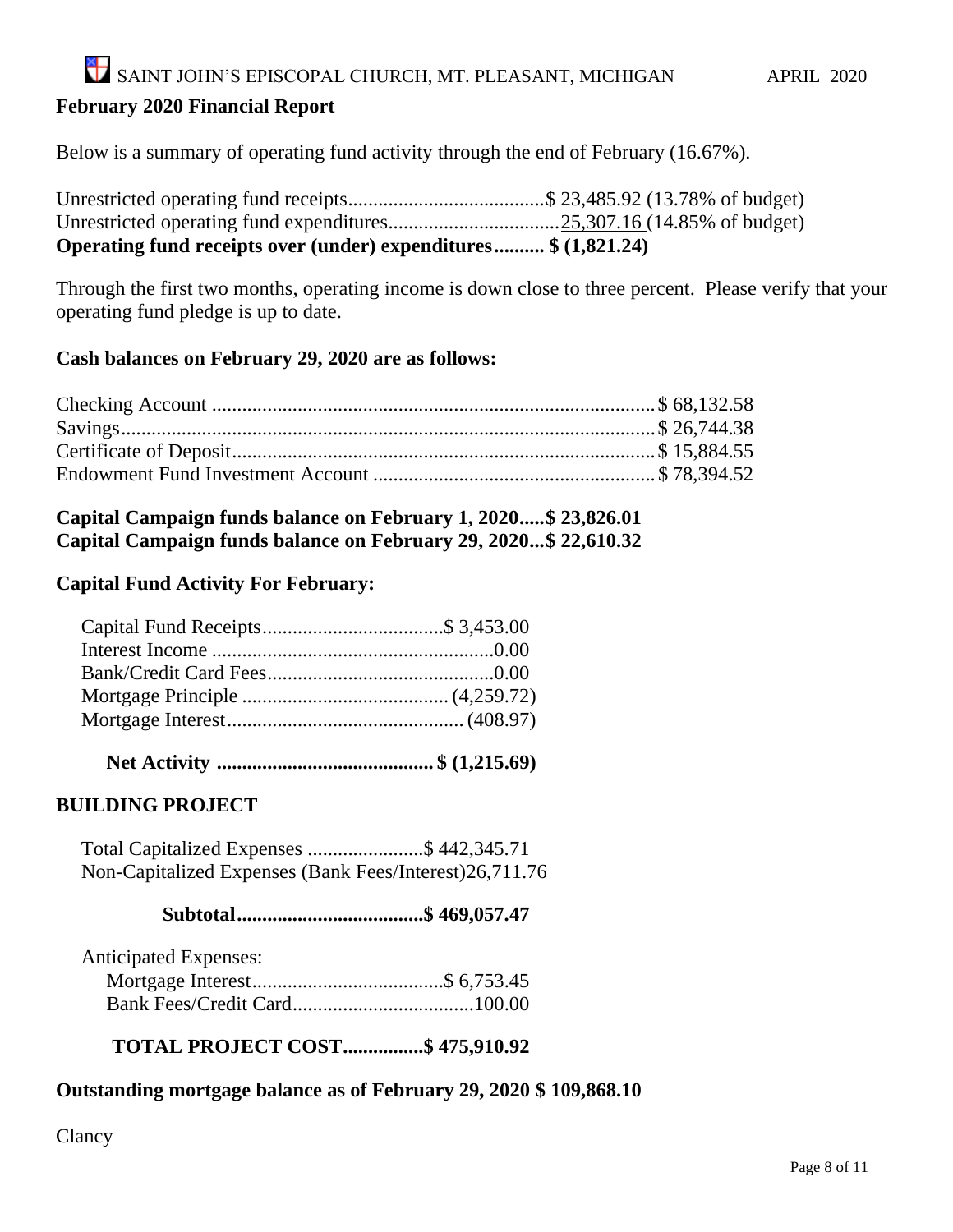SAINT JOHN'S EPISCOPAL CHURCH, MT. PLEASANT, MICHIGAN APRIL 2020

#### **February 2020 Financial Report**

Below is a summary of operating fund activity through the end of February (16.67%).

| Operating fund receipts over (under) expenditures \$ (1,821.24) |  |
|-----------------------------------------------------------------|--|

Through the first two months, operating income is down close to three percent. Please verify that your operating fund pledge is up to date.

#### **Cash balances on February 29, 2020 are as follows:**

#### **Capital Campaign funds balance on February 1, 2020.....\$ 23,826.01 Capital Campaign funds balance on February 29, 2020...\$ 22,610.32**

#### **Capital Fund Activity For February:**

### **Net Activity ........................................... \$ (1,215.69)**

#### **BUILDING PROJECT**

 Total Capitalized Expenses .......................\$ 442,345.71 Non-Capitalized Expenses (Bank Fees/Interest)26,711.76

#### **Subtotal.....................................\$ 469,057.47**

| <b>Anticipated Expenses:</b> |  |
|------------------------------|--|
|                              |  |
|                              |  |

#### **TOTAL PROJECT COST................\$ 475,910.92**

#### **Outstanding mortgage balance as of February 29, 2020 \$ 109,868.10**

Clancy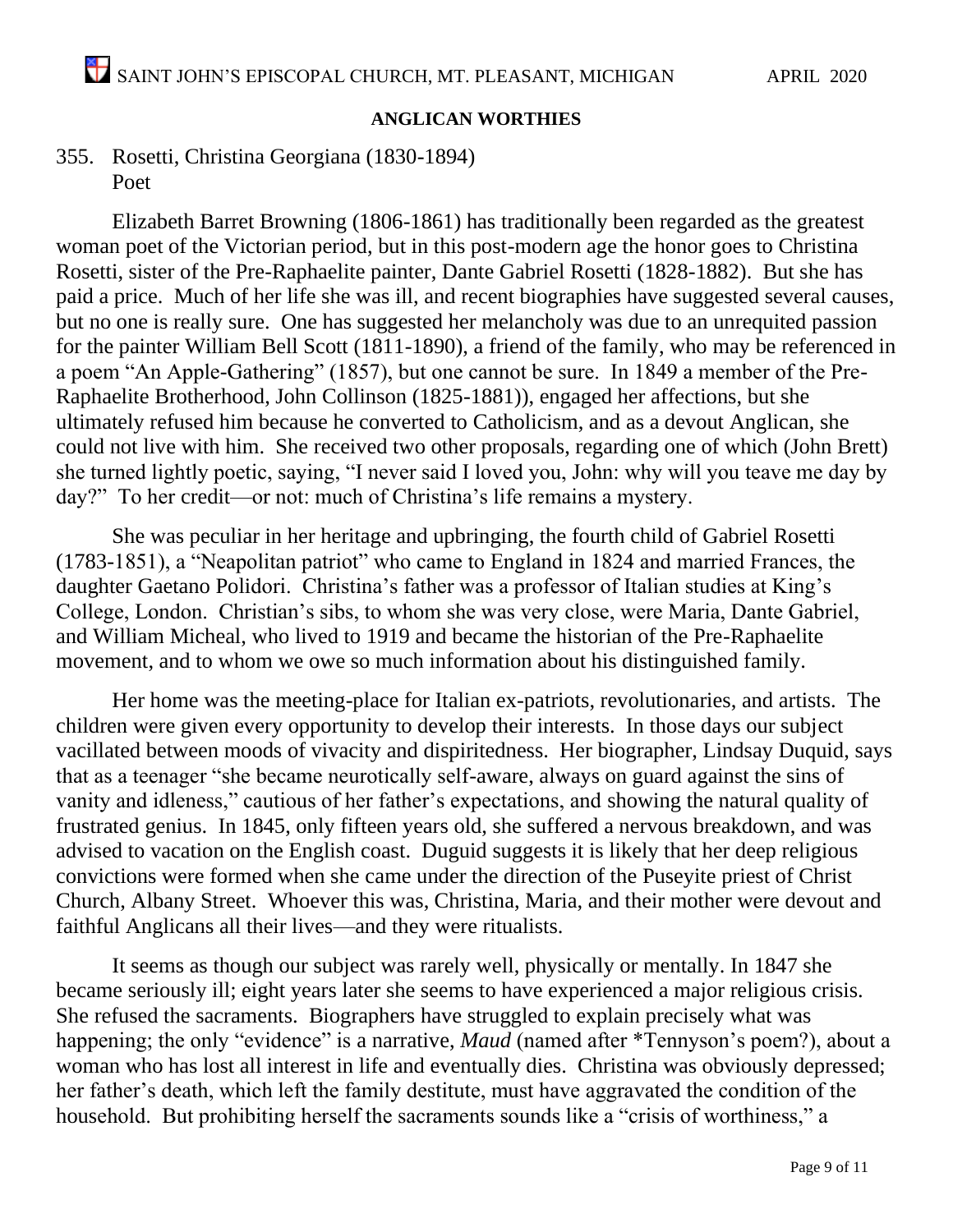#### **ANGLICAN WORTHIES**

355. Rosetti, Christina Georgiana (1830-1894) Poet

Elizabeth Barret Browning (1806-1861) has traditionally been regarded as the greatest woman poet of the Victorian period, but in this post-modern age the honor goes to Christina Rosetti, sister of the Pre-Raphaelite painter, Dante Gabriel Rosetti (1828-1882). But she has paid a price. Much of her life she was ill, and recent biographies have suggested several causes, but no one is really sure. One has suggested her melancholy was due to an unrequited passion for the painter William Bell Scott (1811-1890), a friend of the family, who may be referenced in a poem "An Apple-Gathering" (1857), but one cannot be sure. In 1849 a member of the Pre-Raphaelite Brotherhood, John Collinson (1825-1881)), engaged her affections, but she ultimately refused him because he converted to Catholicism, and as a devout Anglican, she could not live with him. She received two other proposals, regarding one of which (John Brett) she turned lightly poetic, saying, "I never said I loved you, John: why will you teave me day by day?" To her credit—or not: much of Christina's life remains a mystery.

She was peculiar in her heritage and upbringing, the fourth child of Gabriel Rosetti (1783-1851), a "Neapolitan patriot" who came to England in 1824 and married Frances, the daughter Gaetano Polidori. Christina's father was a professor of Italian studies at King's College, London. Christian's sibs, to whom she was very close, were Maria, Dante Gabriel, and William Micheal, who lived to 1919 and became the historian of the Pre-Raphaelite movement, and to whom we owe so much information about his distinguished family.

Her home was the meeting-place for Italian ex-patriots, revolutionaries, and artists. The children were given every opportunity to develop their interests. In those days our subject vacillated between moods of vivacity and dispiritedness. Her biographer, Lindsay Duquid, says that as a teenager "she became neurotically self-aware, always on guard against the sins of vanity and idleness," cautious of her father's expectations, and showing the natural quality of frustrated genius. In 1845, only fifteen years old, she suffered a nervous breakdown, and was advised to vacation on the English coast. Duguid suggests it is likely that her deep religious convictions were formed when she came under the direction of the Puseyite priest of Christ Church, Albany Street. Whoever this was, Christina, Maria, and their mother were devout and faithful Anglicans all their lives—and they were ritualists.

It seems as though our subject was rarely well, physically or mentally. In 1847 she became seriously ill; eight years later she seems to have experienced a major religious crisis. She refused the sacraments. Biographers have struggled to explain precisely what was happening; the only "evidence" is a narrative, *Maud* (named after \*Tennyson's poem?), about a woman who has lost all interest in life and eventually dies. Christina was obviously depressed; her father's death, which left the family destitute, must have aggravated the condition of the household. But prohibiting herself the sacraments sounds like a "crisis of worthiness," a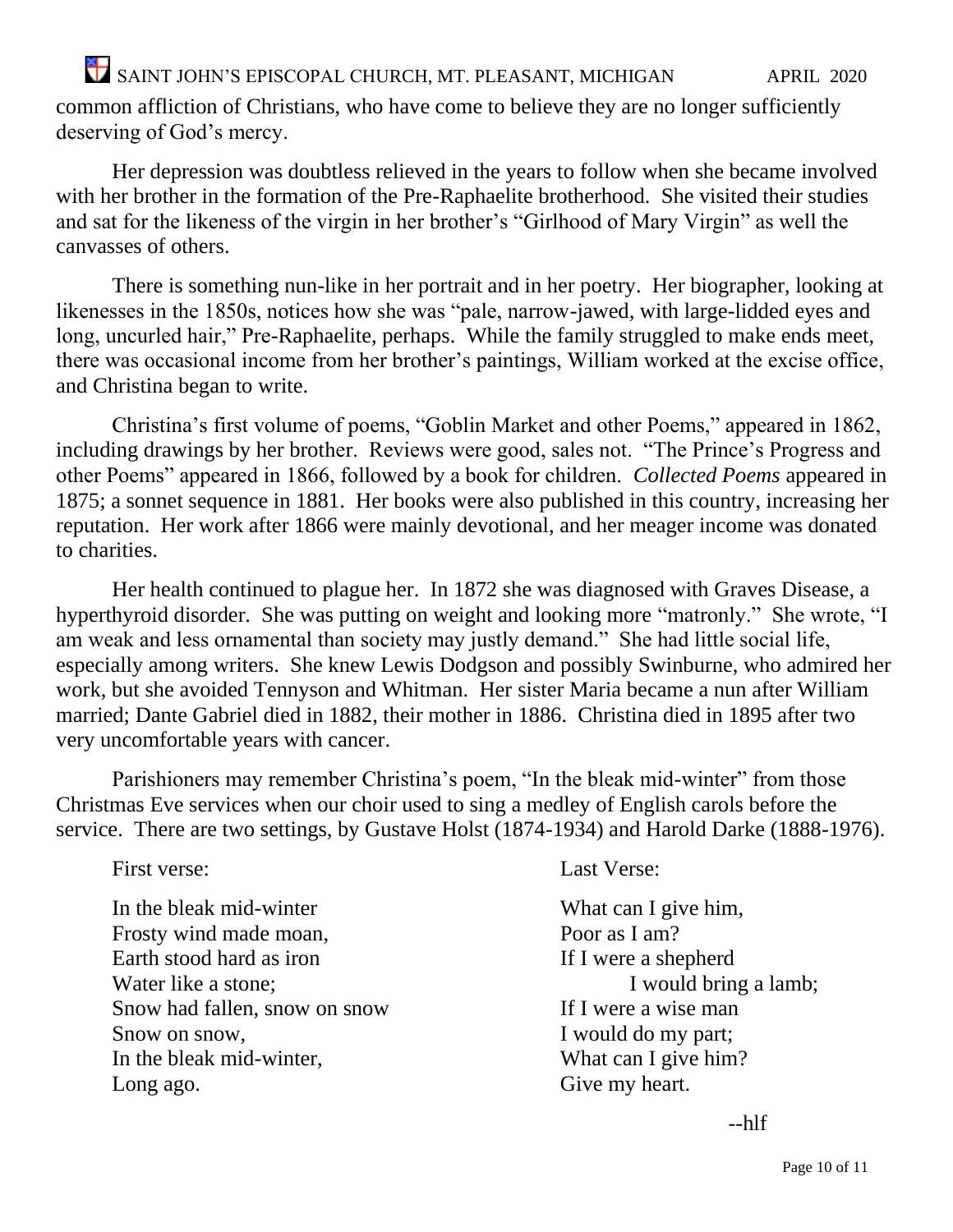common affliction of Christians, who have come to believe they are no longer sufficiently deserving of God's mercy.

Her depression was doubtless relieved in the years to follow when she became involved with her brother in the formation of the Pre-Raphaelite brotherhood. She visited their studies and sat for the likeness of the virgin in her brother's "Girlhood of Mary Virgin" as well the canvasses of others.

There is something nun-like in her portrait and in her poetry. Her biographer, looking at likenesses in the 1850s, notices how she was "pale, narrow-jawed, with large-lidded eyes and long, uncurled hair," Pre-Raphaelite, perhaps. While the family struggled to make ends meet, there was occasional income from her brother's paintings, William worked at the excise office, and Christina began to write.

Christina's first volume of poems, "Goblin Market and other Poems," appeared in 1862, including drawings by her brother. Reviews were good, sales not. "The Prince's Progress and other Poems" appeared in 1866, followed by a book for children. *Collected Poems* appeared in 1875; a sonnet sequence in 1881. Her books were also published in this country, increasing her reputation. Her work after 1866 were mainly devotional, and her meager income was donated to charities.

Her health continued to plague her. In 1872 she was diagnosed with Graves Disease, a hyperthyroid disorder. She was putting on weight and looking more "matronly." She wrote, "I am weak and less ornamental than society may justly demand." She had little social life, especially among writers. She knew Lewis Dodgson and possibly Swinburne, who admired her work, but she avoided Tennyson and Whitman. Her sister Maria became a nun after William married; Dante Gabriel died in 1882, their mother in 1886. Christina died in 1895 after two very uncomfortable years with cancer.

Parishioners may remember Christina's poem, "In the bleak mid-winter" from those Christmas Eve services when our choir used to sing a medley of English carols before the service. There are two settings, by Gustave Holst (1874-1934) and Harold Darke (1888-1976).

| First verse:                  | <b>Last Verse:</b>    |
|-------------------------------|-----------------------|
| In the bleak mid-winter       | What can I give him,  |
| Frosty wind made moan,        | Poor as I am?         |
| Earth stood hard as iron      | If I were a shepherd  |
| Water like a stone;           | I would bring a lamb; |
| Snow had fallen, snow on snow | If I were a wise man  |
| Snow on snow,                 | I would do my part;   |
| In the bleak mid-winter,      | What can I give him?  |
| Long ago.                     | Give my heart.        |